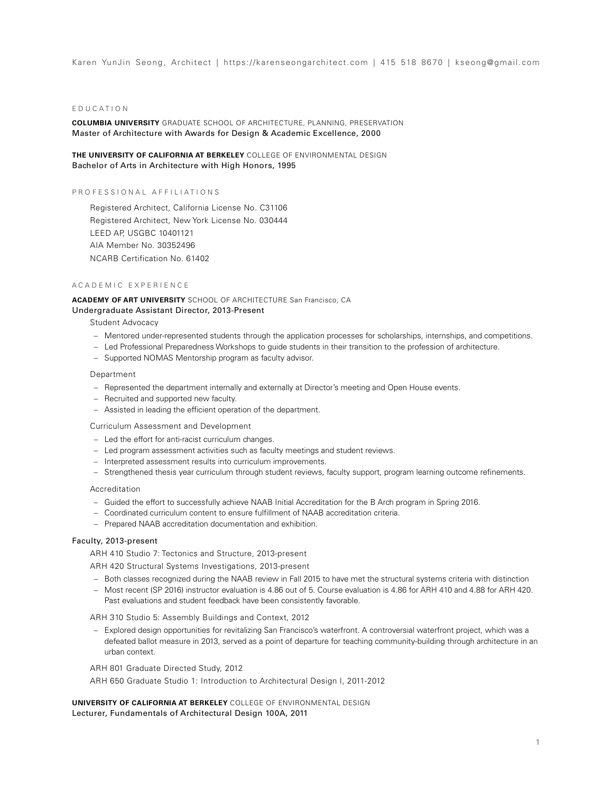Karen YunJin Seong , Architect | https://karenseongarchitect.com | 415 518 8670 | kseong@gmail.com

#### EDUCATION

**COLUMBIA UNIVERSITY** GRADUATE SCHOOL OF ARCHITECTURE, PLANNING, PRESERVATION Master of Architecture with Awards for Design & Academic Excellence, 2000

**THE UNIVERSITY OF CALIFORNIA AT BERKELEY** COLLEGE OF ENVIRONMENTAL DESIGN Bachelor of Arts in Architecture with High Honors, 1995

#### PROFESSIONAL AFFILIATIONS

Registered Architect, California License No. C31106 Registered Architect, New York License No. 030444 LEED AP, USGBC 10401121 AIA Member No. 30352496 NCARB Certification No. 61402

# ACADEMIC EXPERIENCE

**ACADEMY OF ART UNIVERSITY** SCHOOL OF ARCHITECTURE San Francisco, CA

# Undergraduate Assistant Director, 2013-Present

# Student Advocacy

- − Mentored under-represented students through the application processes for scholarships, internships, and competitions.
- − Led Professional Preparedness Workshops to guide students in their transition to the profession of architecture.
- − Supported NOMAS Mentorship program as faculty advisor.

#### Department

- − Represented the department internally and externally at Director's meeting and Open House events.
- − Recruited and supported new faculty.
- − Assisted in leading the efficient operation of the department.

#### Curriculum Assessment and Development

- − Led the effort for anti-racist curriculum changes.
- − Led program assessment activities such as faculty meetings and student reviews.
- − Interpreted assessment results into curriculum improvements.
- − Strengthened thesis year curriculum through student reviews, faculty support, program learning outcome refinements.

#### Accreditation

- − Guided the effort to successfully achieve NAAB Initial Accreditation for the B Arch program in Spring 2016.
- − Coordinated curriculum content to ensure fulfillment of NAAB accreditation criteria.
- − Prepared NAAB accreditation documentation and exhibition.

### Faculty, 2013-present

ARH 410 Studio 7: Tectonics and Structure, 2013-present

ARH 420 Structural Systems Investigations, 2013-present

- − Both classes recognized during the NAAB review in Fall 2015 to have met the structural systems criteria with distinction
- − Most recent (SP 2016) instructor evaluation is 4.86 out of 5. Course evaluation is 4.86 for ARH 410 and 4.88 for ARH 420. Past evaluations and student feedback have been consistently favorable.

ARH 310 Studio 5: Assembly Buildings and Context, 2012

− Explored design opportunities for revitalizing San Francisco's waterfront. A controversial waterfront project, which was a defeated ballot measure in 2013, served as a point of departure for teaching community-building through architecture in an urban context.

ARH 801 Graduate Directed Study, 2012

ARH 650 Graduate Studio 1: Introduction to Architectural Design I, 2011-2012

# **UNIVERSITY OF CALIFORNIA AT BERKELEY** COLLEGE OF ENVIRONMENTAL DESIGN Lecturer, Fundamentals of Architectural Design 100A, 2011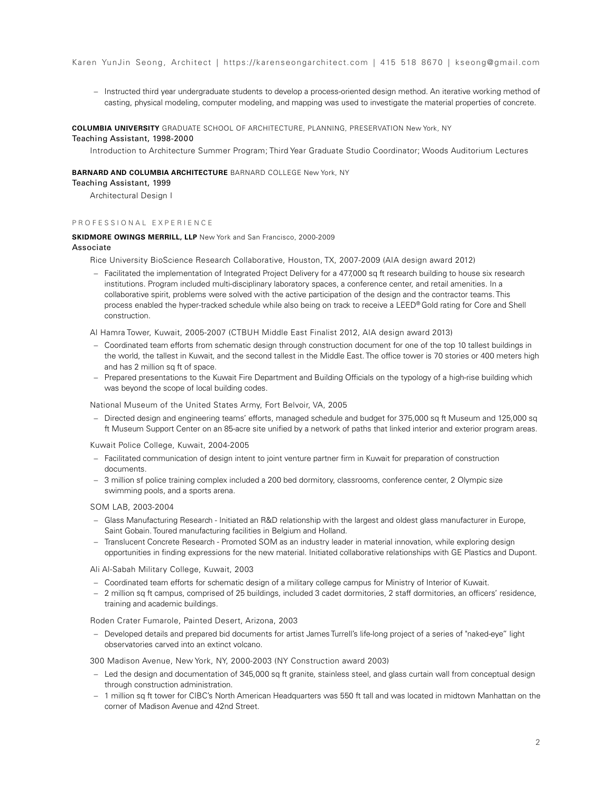− Instructed third year undergraduate students to develop a process-oriented design method. An iterative working method of casting, physical modeling, computer modeling, and mapping was used to investigate the material properties of concrete.

**COLUMBIA UNIVERSITY** GRADUATE SCHOOL OF ARCHITECTURE, PLANNING, PRESERVATION New York, NY

# Teaching Assistant, 1998-2000

Introduction to Architecture Summer Program; Third Year Graduate Studio Coordinator; Woods Auditorium Lectures

### **BARNARD AND COLUMBIA ARCHITECTURE** BARNARD COLLEGE New York, NY

Teaching Assistant, 1999

Architectural Design I

### PROFESSIONAL EXPERIENCE

# **SKIDMORE OWINGS MERRILL, LLP** New York and San Francisco, 2000-2009

#### Associate

Rice University BioScience Research Collaborative, Houston, TX, 2007-2009 (AIA design award 2012)

− Facilitated the implementation of Integrated Project Delivery for a 477,000 sq ft research building to house six research institutions. Program included multi-disciplinary laboratory spaces, a conference center, and retail amenities. In a collaborative spirit, problems were solved with the active participation of the design and the contractor teams. This process enabled the hyper-tracked schedule while also being on track to receive a LEED® Gold rating for Core and Shell construction.

Al Hamra Tower, Kuwait, 2005-2007 (CTBUH Middle East Finalist 2012, AIA design award 2013)

- − Coordinated team efforts from schematic design through construction document for one of the top 10 tallest buildings in the world, the tallest in Kuwait, and the second tallest in the Middle East. The office tower is 70 stories or 400 meters high and has 2 million sq ft of space.
- − Prepared presentations to the Kuwait Fire Department and Building Officials on the typology of a high-rise building which was beyond the scope of local building codes.

National Museum of the United States Army, Fort Belvoir, VA, 2005

− Directed design and engineering teams' efforts, managed schedule and budget for 375,000 sq ft Museum and 125,000 sq ft Museum Support Center on an 85-acre site unified by a network of paths that linked interior and exterior program areas.

Kuwait Police College, Kuwait, 2004-2005

- − Facilitated communication of design intent to joint venture partner firm in Kuwait for preparation of construction documents.
- − 3 million sf police training complex included a 200 bed dormitory, classrooms, conference center, 2 Olympic size swimming pools, and a sports arena.

#### SOM LAB, 2003-2004

- − Glass Manufacturing Research Initiated an R&D relationship with the largest and oldest glass manufacturer in Europe, Saint Gobain. Toured manufacturing facilities in Belgium and Holland.
- − Translucent Concrete Research Promoted SOM as an industry leader in material innovation, while exploring design opportunities in finding expressions for the new material. Initiated collaborative relationships with GE Plastics and Dupont.

#### Ali Al-Sabah Military College, Kuwait, 2003

- − Coordinated team efforts for schematic design of a military college campus for Ministry of Interior of Kuwait.
- − 2 million sq ft campus, comprised of 25 buildings, included 3 cadet dormitories, 2 staff dormitories, an officers' residence, training and academic buildings.

#### Roden Crater Fumarole, Painted Desert, Arizona, 2003

− Developed details and prepared bid documents for artist James Turrell's life-long project of a series of "naked-eye" light observatories carved into an extinct volcano.

300 Madison Avenue, New York, NY, 2000-2003 (NY Construction award 2003)

- − Led the design and documentation of 345,000 sq ft granite, stainless steel, and glass curtain wall from conceptual design through construction administration.
- − 1 million sq ft tower for CIBC's North American Headquarters was 550 ft tall and was located in midtown Manhattan on the corner of Madison Avenue and 42nd Street.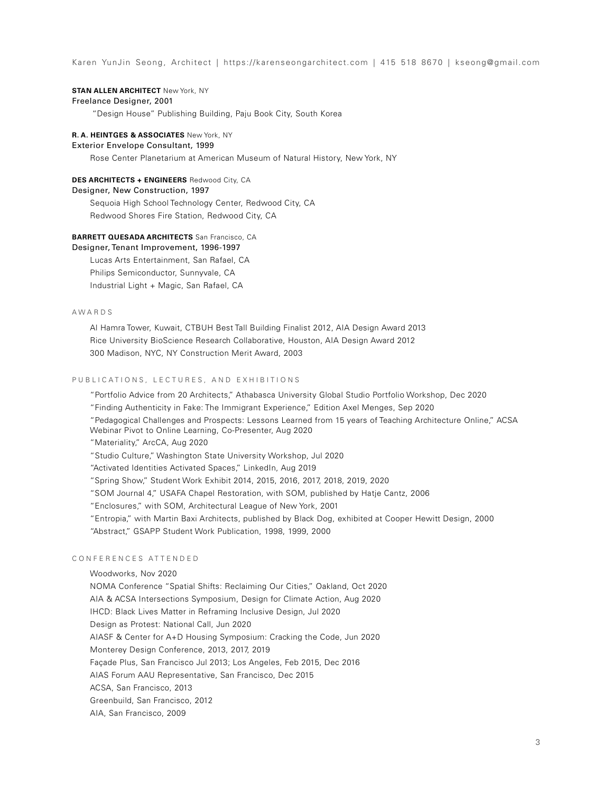Karen YunJin Seong , Architect | https://karenseongarchitect.com | 415 518 8670 | kseong@gmail.com

#### **STAN ALLEN ARCHITECT** New York, NY

### Freelance Designer, 2001

"Design House" Publishing Building, Paju Book City, South Korea

### **R. A. HEINTGES & ASSOCIATES** New York, NY

#### Exterior Envelope Consultant, 1999

Rose Center Planetarium at American Museum of Natural History, New York, NY

# **DES ARCHITECTS + ENGINEERS** Redwood City, CA

# Designer, New Construction, 1997

Sequoia High School Technology Center, Redwood City, CA Redwood Shores Fire Station, Redwood City, CA

### **BARRETT QUESADA ARCHITECTS** San Francisco, CA Designer, Tenant Improvement, 1996-1997

Lucas Arts Entertainment, San Rafael, CA Philips Semiconductor, Sunnyvale, CA Industrial Light + Magic, San Rafael, CA

# AWARDS

Al Hamra Tower, Kuwait, CTBUH Best Tall Building Finalist 2012, AIA Design Award 2013 Rice University BioScience Research Collaborative, Houston, AIA Design Award 2012 300 Madison, NYC, NY Construction Merit Award, 2003

# PUBLICATIONS, LECTURES, AND EXHIBITIONS

"Portfolio Advice from 20 Architects," Athabasca University Global Studio Portfolio Workshop, Dec 2020

"Finding Authenticity in Fake: The Immigrant Experience," Edition Axel Menges, Sep 2020

"Pedagogical Challenges and Prospects: Lessons Learned from 15 years of Teaching Architecture Online," ACSA

Webinar Pivot to Online Learning, Co-Presenter, Aug 2020

"Materiality," ArcCA, Aug 2020

"Studio Culture," Washington State University Workshop, Jul 2020

"Activated Identities Activated Spaces," LinkedIn, Aug 2019

"Spring Show," Student Work Exhibit 2014, 2015, 2016, 2017, 2018, 2019, 2020

"SOM Journal 4," USAFA Chapel Restoration, with SOM, published by Hatje Cantz, 2006

"Enclosures," with SOM, Architectural League of New York, 2001

"Entropia," with Martin Baxi Architects, published by Black Dog, exhibited at Cooper Hewitt Design, 2000 "Abstract," GSAPP Student Work Publication, 1998, 1999, 2000

# CONFERENCES ATTENDED

Woodworks, Nov 2020 NOMA Conference "Spatial Shifts: Reclaiming Our Cities," Oakland, Oct 2020 AIA & ACSA Intersections Symposium, Design for Climate Action, Aug 2020 IHCD: Black Lives Matter in Reframing Inclusive Design, Jul 2020 Design as Protest: National Call, Jun 2020 AIASF & Center for A+D Housing Symposium: Cracking the Code, Jun 2020 Monterey Design Conference, 2013, 2017, 2019 Façade Plus, San Francisco Jul 2013; Los Angeles, Feb 2015, Dec 2016 AIAS Forum AAU Representative, San Francisco, Dec 2015 ACSA, San Francisco, 2013 Greenbuild, San Francisco, 2012 AIA, San Francisco, 2009